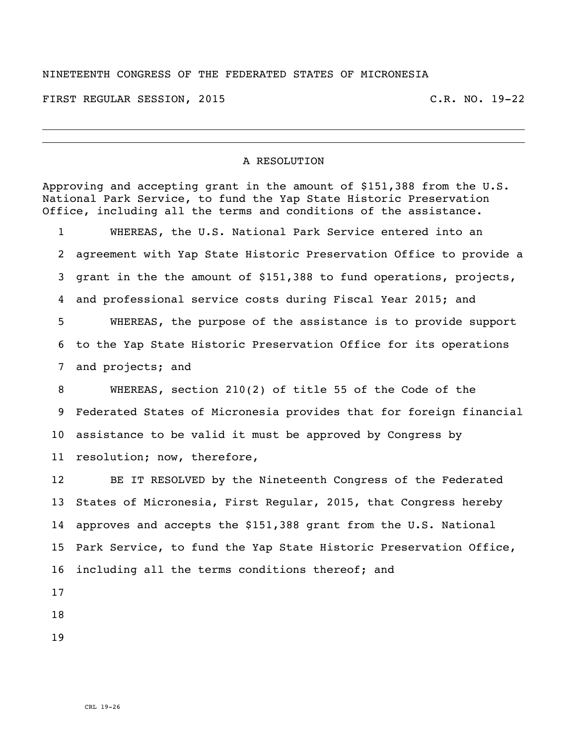## NINETEENTH CONGRESS OF THE FEDERATED STATES OF MICRONESIA

FIRST REGULAR SESSION, 2015 C.R. NO. 19-22

## A RESOLUTION

Approving and accepting grant in the amount of \$151,388 from the U.S. National Park Service, to fund the Yap State Historic Preservation Office, including all the terms and conditions of the assistance. WHEREAS, the U.S. National Park Service entered into an agreement with Yap State Historic Preservation Office to provide a grant in the the amount of \$151,388 to fund operations, projects, and professional service costs during Fiscal Year 2015; and WHEREAS, the purpose of the assistance is to provide support to the Yap State Historic Preservation Office for its operations and projects; and WHEREAS, section 210(2) of title 55 of the Code of the Federated States of Micronesia provides that for foreign financial assistance to be valid it must be approved by Congress by resolution; now, therefore, BE IT RESOLVED by the Nineteenth Congress of the Federated States of Micronesia, First Regular, 2015, that Congress hereby approves and accepts the \$151,388 grant from the U.S. National Park Service, to fund the Yap State Historic Preservation Office, including all the terms conditions thereof; and